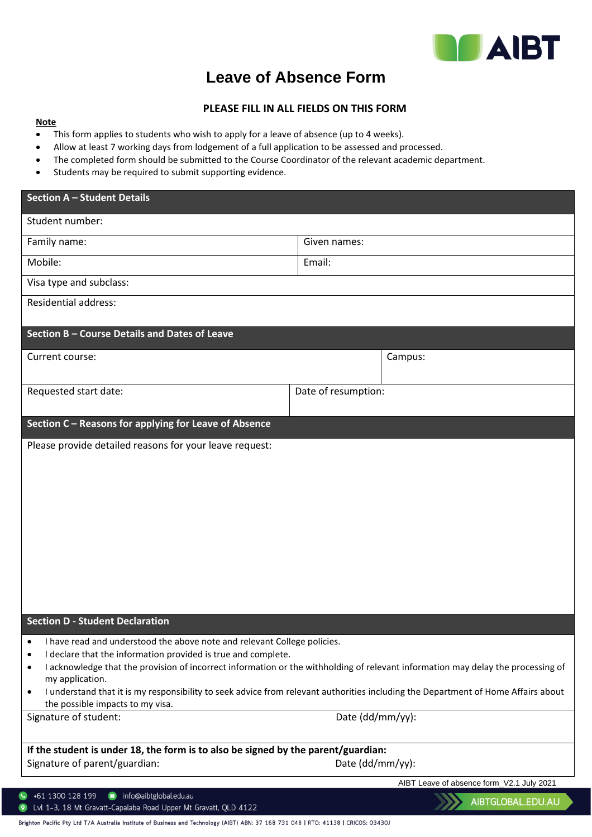

777

## **Leave of Absence Form**

## **PLEASE FILL IN ALL FIELDS ON THIS FORM**

## **Note**

- This form applies to students who wish to apply for a leave of absence (up to 4 weeks).
- Allow at least 7 working days from lodgement of a full application to be assessed and processed.
- The completed form should be submitted to the Course Coordinator of the relevant academic department.
- Students may be required to submit supporting evidence.

| Section A - Student Details                                                                                                                                                                                                                                                                                                                                                                                                                                                                              |                     |                                           |
|----------------------------------------------------------------------------------------------------------------------------------------------------------------------------------------------------------------------------------------------------------------------------------------------------------------------------------------------------------------------------------------------------------------------------------------------------------------------------------------------------------|---------------------|-------------------------------------------|
| Student number:                                                                                                                                                                                                                                                                                                                                                                                                                                                                                          |                     |                                           |
| Family name:                                                                                                                                                                                                                                                                                                                                                                                                                                                                                             | Given names:        |                                           |
| Mobile:                                                                                                                                                                                                                                                                                                                                                                                                                                                                                                  | Email:              |                                           |
| Visa type and subclass:                                                                                                                                                                                                                                                                                                                                                                                                                                                                                  |                     |                                           |
| <b>Residential address:</b>                                                                                                                                                                                                                                                                                                                                                                                                                                                                              |                     |                                           |
| Section B - Course Details and Dates of Leave                                                                                                                                                                                                                                                                                                                                                                                                                                                            |                     |                                           |
| Current course:                                                                                                                                                                                                                                                                                                                                                                                                                                                                                          |                     | Campus:                                   |
| Requested start date:                                                                                                                                                                                                                                                                                                                                                                                                                                                                                    | Date of resumption: |                                           |
| Section C - Reasons for applying for Leave of Absence                                                                                                                                                                                                                                                                                                                                                                                                                                                    |                     |                                           |
|                                                                                                                                                                                                                                                                                                                                                                                                                                                                                                          |                     |                                           |
| <b>Section D - Student Declaration</b>                                                                                                                                                                                                                                                                                                                                                                                                                                                                   |                     |                                           |
| I have read and understood the above note and relevant College policies.<br>I declare that the information provided is true and complete.<br>$\bullet$<br>I acknowledge that the provision of incorrect information or the withholding of relevant information may delay the processing of<br>٠<br>my application.<br>I understand that it is my responsibility to seek advice from relevant authorities including the Department of Home Affairs about<br>$\bullet$<br>the possible impacts to my visa. |                     |                                           |
| Signature of student:                                                                                                                                                                                                                                                                                                                                                                                                                                                                                    | Date (dd/mm/yy):    |                                           |
|                                                                                                                                                                                                                                                                                                                                                                                                                                                                                                          |                     |                                           |
| If the student is under 18, the form is to also be signed by the parent/guardian:<br>Signature of parent/guardian:                                                                                                                                                                                                                                                                                                                                                                                       | Date (dd/mm/yy):    |                                           |
|                                                                                                                                                                                                                                                                                                                                                                                                                                                                                                          |                     | AIBT Leave of absence form_V2.1 July 2021 |
| info@aibtglobal.edu.au<br>+61 1300 128 199                                                                                                                                                                                                                                                                                                                                                                                                                                                               |                     | AIBTGLOBAL.EDU.AU                         |

Lvl 1-3, 18 Mt Gravatt-Capalaba Road Upper Mt Gravatt, QLD 4122